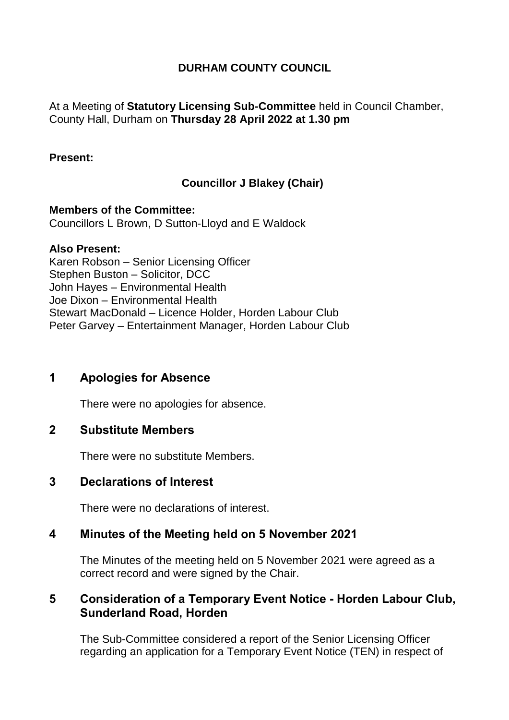## **DURHAM COUNTY COUNCIL**

### At a Meeting of **Statutory Licensing Sub-Committee** held in Council Chamber, County Hall, Durham on **Thursday 28 April 2022 at 1.30 pm**

#### **Present:**

# **Councillor J Blakey (Chair)**

**Members of the Committee:** Councillors L Brown, D Sutton-Lloyd and E Waldock

#### **Also Present:**

Karen Robson – Senior Licensing Officer Stephen Buston – Solicitor, DCC John Hayes – Environmental Health Joe Dixon – Environmental Health Stewart MacDonald – Licence Holder, Horden Labour Club Peter Garvey – Entertainment Manager, Horden Labour Club

# **1 Apologies for Absence**

There were no apologies for absence.

### **2 Substitute Members**

There were no substitute Members.

#### **3 Declarations of Interest**

There were no declarations of interest.

### **4 Minutes of the Meeting held on 5 November 2021**

The Minutes of the meeting held on 5 November 2021 were agreed as a correct record and were signed by the Chair.

### **5 Consideration of a Temporary Event Notice - Horden Labour Club, Sunderland Road, Horden**

The Sub-Committee considered a report of the Senior Licensing Officer regarding an application for a Temporary Event Notice (TEN) in respect of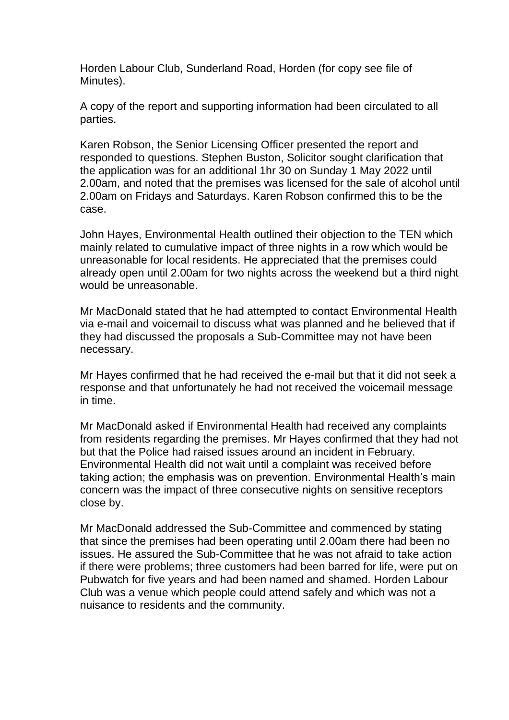Horden Labour Club, Sunderland Road, Horden (for copy see file of Minutes).

A copy of the report and supporting information had been circulated to all parties.

Karen Robson, the Senior Licensing Officer presented the report and responded to questions. Stephen Buston, Solicitor sought clarification that the application was for an additional 1hr 30 on Sunday 1 May 2022 until 2.00am, and noted that the premises was licensed for the sale of alcohol until 2.00am on Fridays and Saturdays. Karen Robson confirmed this to be the case.

John Hayes, Environmental Health outlined their objection to the TEN which mainly related to cumulative impact of three nights in a row which would be unreasonable for local residents. He appreciated that the premises could already open until 2.00am for two nights across the weekend but a third night would be unreasonable.

Mr MacDonald stated that he had attempted to contact Environmental Health via e-mail and voicemail to discuss what was planned and he believed that if they had discussed the proposals a Sub-Committee may not have been necessary.

Mr Hayes confirmed that he had received the e-mail but that it did not seek a response and that unfortunately he had not received the voicemail message in time.

Mr MacDonald asked if Environmental Health had received any complaints from residents regarding the premises. Mr Hayes confirmed that they had not but that the Police had raised issues around an incident in February. Environmental Health did not wait until a complaint was received before taking action; the emphasis was on prevention. Environmental Health's main concern was the impact of three consecutive nights on sensitive receptors close by.

Mr MacDonald addressed the Sub-Committee and commenced by stating that since the premises had been operating until 2.00am there had been no issues. He assured the Sub-Committee that he was not afraid to take action if there were problems; three customers had been barred for life, were put on Pubwatch for five years and had been named and shamed. Horden Labour Club was a venue which people could attend safely and which was not a nuisance to residents and the community.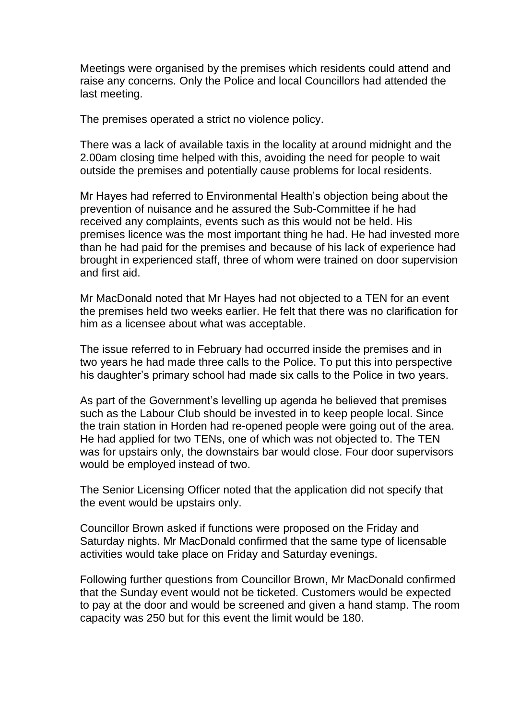Meetings were organised by the premises which residents could attend and raise any concerns. Only the Police and local Councillors had attended the last meeting.

The premises operated a strict no violence policy.

There was a lack of available taxis in the locality at around midnight and the 2.00am closing time helped with this, avoiding the need for people to wait outside the premises and potentially cause problems for local residents.

Mr Hayes had referred to Environmental Health's objection being about the prevention of nuisance and he assured the Sub-Committee if he had received any complaints, events such as this would not be held. His premises licence was the most important thing he had. He had invested more than he had paid for the premises and because of his lack of experience had brought in experienced staff, three of whom were trained on door supervision and first aid.

Mr MacDonald noted that Mr Hayes had not objected to a TEN for an event the premises held two weeks earlier. He felt that there was no clarification for him as a licensee about what was acceptable.

The issue referred to in February had occurred inside the premises and in two years he had made three calls to the Police. To put this into perspective his daughter's primary school had made six calls to the Police in two years.

As part of the Government's levelling up agenda he believed that premises such as the Labour Club should be invested in to keep people local. Since the train station in Horden had re-opened people were going out of the area. He had applied for two TENs, one of which was not objected to. The TEN was for upstairs only, the downstairs bar would close. Four door supervisors would be employed instead of two.

The Senior Licensing Officer noted that the application did not specify that the event would be upstairs only.

Councillor Brown asked if functions were proposed on the Friday and Saturday nights. Mr MacDonald confirmed that the same type of licensable activities would take place on Friday and Saturday evenings.

Following further questions from Councillor Brown, Mr MacDonald confirmed that the Sunday event would not be ticketed. Customers would be expected to pay at the door and would be screened and given a hand stamp. The room capacity was 250 but for this event the limit would be 180.